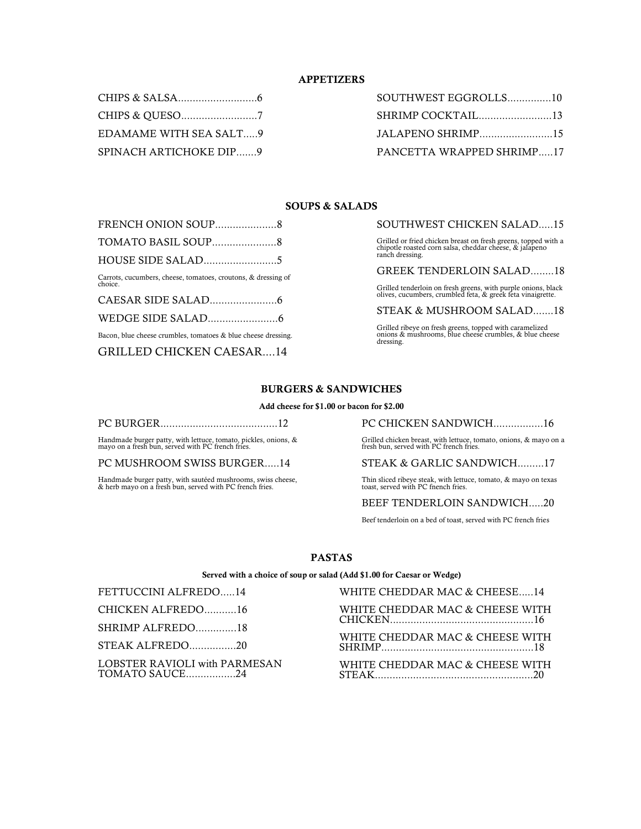## **APPETIZERS**

| EDAMAME WITH SEA SALT9 |  |
|------------------------|--|
| SPINACH ARTICHOKE DIP9 |  |

| SOUTHWEST EGGROLLS10      |
|---------------------------|
| SHRIMP COCKTAIL13         |
| JALAPENO SHRIMP15         |
| PANCETTA WRAPPED SHRIMP17 |

## **SOUPS & SALADS**

| Carrots, cucumbers, cheese, tomatoes, croutons, & dressing of<br>choice. |  |
|--------------------------------------------------------------------------|--|
|                                                                          |  |
|                                                                          |  |
| Bacon, blue cheese crumbles, tomatoes & blue cheese dressing.            |  |

GRILLED CHICKEN CAESAR....14

SOUTHWEST CHICKEN SALAD.....15

Grilled or fried chicken breast on fresh greens, topped with a chipotle roasted corn salsa, cheddar cheese, & jalapeno ranch dressing.

GREEK TENDERLOIN SALAD........18

Grilled tenderloin on fresh greens, with purple onions, black olives, cucumbers, crumbled feta, & greek feta vinaigrette.

### STEAK & MUSHROOM SALAD.......18

Grilled ribeye on fresh greens, topped with caramelized onions & mushrooms, blue cheese crumbles, & blue cheese dressing.

#### **BURGERS & SANDWICHES**

#### **Add cheese for \$1.00 or bacon for \$2.00**

|--|

Handmade burger patty, with lettuce, tomato, pickles, onions, & mayo on a fresh bun, served with PC french fries.

PC MUSHROOM SWISS BURGER.....14

Handmade burger patty, with sautéed mushrooms, swiss cheese, & herb mayo on a fresh bun, served with PC french fries.

PC CHICKEN SANDWICH.................16

Grilled chicken breast, with lettuce, tomato, onions, & mayo on a fresh bun, served with PC french fries.

#### STEAK & GARLIC SANDWICH.........17

Thin sliced ribeye steak, with lettuce, tomato, & mayo on texas toast, served with PC fnench fries.

# BEEF TENDERLOIN SANDWICH.....20

Beef tenderloin on a bed of toast, served with PC french fries

## **PASTAS**

**Served with a choice of soup or salad (Add \$1.00 for Caesar or Wedge)**

FETTUCCINI ALFREDO.....14 CHICKEN ALFREDO...........16 SHRIMP ALFREDO..............18 STEAK ALFREDO................20 LOBSTER RAVIOLI with PARMESAN TOMATO SAUCE.................24

WHITE CHEDDAR MAC & CHEESE.....14 WHITE CHEDDAR MAC & CHEESE WITH CHICKEN.................................................16 WHITE CHEDDAR MAC & CHEESE WITH SHRIMP....................................................18 WHITE CHEDDAR MAC & CHEESE WITH STEAK......................................................20